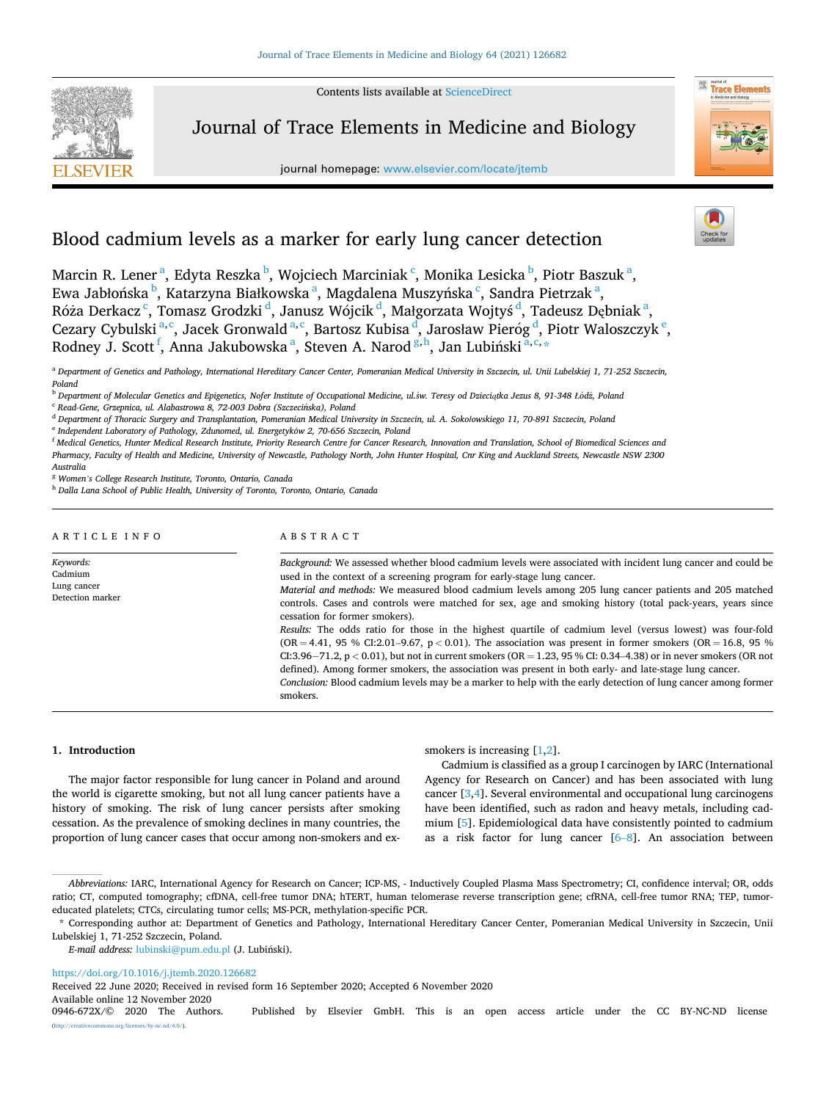Contents lists available at [ScienceDirect](www.sciencedirect.com/science/journal/0946672X)



Journal of Trace Elements in Medicine and Biology

journal homepage: [www.elsevier.com/locate/jtemb](https://www.elsevier.com/locate/jtemb)



# Blood cadmium levels as a marker for early lung cancer detection

Marcin R. Lener<sup>a</sup>, Edyta Reszka <sup>b</sup>, Wojciech Marciniak <sup>c</sup>, Monika Lesicka <sup>b</sup>, Piotr Baszuk <sup>a</sup>, Ewa Jabłońska <sup>b</sup>, Katarzyna Białkowska <sup>a</sup>, Magdalena Muszyńska <sup>c</sup>, Sandra Pietrzak <sup>a</sup>, Róża Derkacz <sup>c</sup>, Tomasz Grodzki <sup>d</sup>, Janusz Wójcik <sup>d</sup>, Małgorzata Wojtyś <sup>d</sup>, Tadeusz Dębniak <sup>a</sup>, Cezary Cybulski<sup>a, c</sup>, Jacek Gronwald<sup>a, c</sup>, Bartosz Kubisa <sup>d</sup>, Jarosław Pieróg <sup>d</sup>, Piotr Waloszczyk <sup>e</sup>, Rodney J. Scott <sup>f</sup>, Anna Jakubowska <sup>a</sup>, Steven A. Narod <sup>g, h</sup>, Jan Lubiński <sup>a, c,</sup> \*

<sup>a</sup> *Department of Genetics and Pathology, International Hereditary Cancer Center, Pomeranian Medical University in Szczecin, ul. Unii Lubelskiej 1, 71-252 Szczecin, Poland* 

<sup>f</sup> *Medical Genetics, Hunter Medical Research Institute, Priority Research Centre for Cancer Research, Innovation and Translation, School of Biomedical Sciences and Pharmacy, Faculty of Health and Medicine, University of Newcastle, Pathology North, John Hunter Hospital, Cnr King and Auckland Streets, Newcastle NSW 2300 Australia* 

<sup>g</sup> *Women's College Research Institute, Toronto, Ontario, Canada* 

<sup>h</sup> *Dalla Lana School of Public Health, University of Toronto, Toronto, Ontario, Canada* 

# ARTICLE INFO

# ABSTRACT

*Keywords:*  Cadmium Lung cancer Detection marker *Background:* We assessed whether blood cadmium levels were associated with incident lung cancer and could be used in the context of a screening program for early-stage lung cancer. *Material and methods:* We measured blood cadmium levels among 205 lung cancer patients and 205 matched controls. Cases and controls were matched for sex, age and smoking history (total pack-years, years since cessation for former smokers). *Results:* The odds ratio for those in the highest quartile of cadmium level (versus lowest) was four-fold (OR = 4.41, 95 % CI:2.01–9.67, p < 0.01). The association was present in former smokers (OR = 16.8, 95 %) CI:3.96− 71.2, p *<* 0.01), but not in current smokers (OR = 1.23, 95 % CI: 0.34–4.38) or in never smokers (OR not defined). Among former smokers, the association was present in both early- and late-stage lung cancer. *Conclusion:* Blood cadmium levels may be a marker to help with the early detection of lung cancer among former smokers.

#### **1. Introduction**

The major factor responsible for lung cancer in Poland and around the world is cigarette smoking, but not all lung cancer patients have a history of smoking. The risk of lung cancer persists after smoking cessation. As the prevalence of smoking declines in many countries, the proportion of lung cancer cases that occur among non-smokers and exsmokers is increasing [\[1,2\]](#page-3-0).

Cadmium is classified as a group I carcinogen by IARC (International Agency for Research on Cancer) and has been associated with lung cancer [\[3,4](#page-3-0)]. Several environmental and occupational lung carcinogens have been identified, such as radon and heavy metals, including cadmium [[5](#page-3-0)]. Epidemiological data have consistently pointed to cadmium as a risk factor for lung cancer  $[6-8]$  $[6-8]$  $[6-8]$ . An association between

*E-mail address:* [lubinski@pum.edu.pl](mailto:lubinski@pum.edu.pl) (J. Lubinski). ´

<https://doi.org/10.1016/j.jtemb.2020.126682>

Received 22 June 2020; Received in revised form 16 September 2020; Accepted 6 November 2020

Available online 12 November 2020<br>0946-672X/© 2020 The Authors.

<sup>b</sup> *Department of Molecular Genetics and Epigenetics, Nofer Institute of Occupational Medicine, ul.*´*sw. Teresy od Dzieciątka Jezus 8, 91-348 Ł*´ *od*´*z, Poland* 

<sup>&</sup>lt;sup>c</sup> Read-Gene, Grzepnica, ul. Alabastrowa 8, 72-003 Dobra (Szczecińska), Poland

<sup>d</sup> *Department of Thoracic Surgery and Transplantation, Pomeranian Medical University in Szczecin, ul. A. Sokołowskiego 11, 70-891 Szczecin, Poland* 

<sup>&</sup>lt;sup>e</sup> Independent Laboratory of Pathology, Zdunomed, ul. Energetyków 2, 70-656 Szczecin, Poland

*Abbreviations:* IARC, International Agency for Research on Cancer; ICP-MS, - Inductively Coupled Plasma Mass Spectrometry; CI, confidence interval; OR, odds ratio; CT, computed tomography; cfDNA, cell-free tumor DNA; hTERT, human telomerase reverse transcription gene; cfRNA, cell-free tumor RNA; TEP, tumoreducated platelets; CTCs, circulating tumor cells; MS-PCR, methylation-specific PCR.

<sup>\*</sup> Corresponding author at: Department of Genetics and Pathology, International Hereditary Cancer Center, Pomeranian Medical University in Szczecin, Unii Lubelskiej 1, 71-252 Szczecin, Poland.

Published by Elsevier GmbH. This is an open access article under the CC BY-NC-ND license ses/by-nc-nd/4.0/).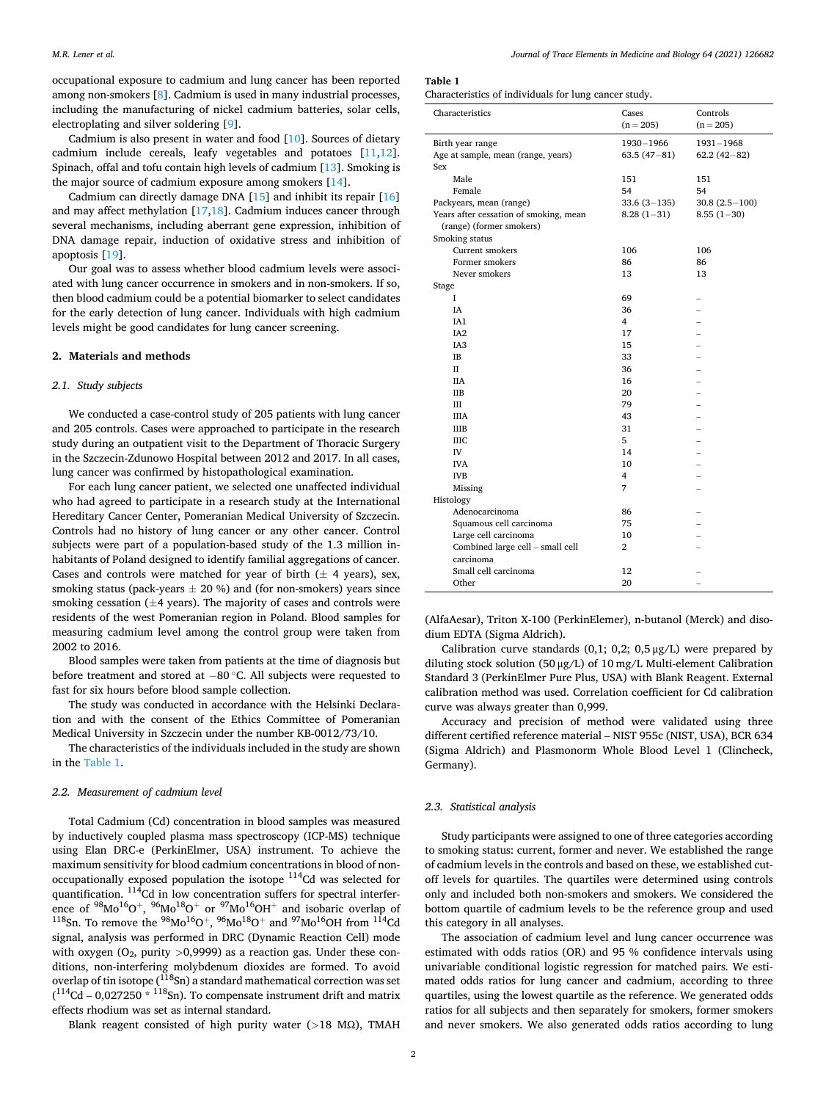occupational exposure to cadmium and lung cancer has been reported among non-smokers [\[8\]](#page-3-0). Cadmium is used in many industrial processes, including the manufacturing of nickel cadmium batteries, solar cells, electroplating and silver soldering [\[9\]](#page-3-0).

Cadmium is also present in water and food [[10\]](#page-3-0). Sources of dietary cadmium include cereals, leafy vegetables and potatoes [[11,12](#page-4-0)]. Spinach, offal and tofu contain high levels of cadmium [[13\]](#page-4-0). Smoking is the major source of cadmium exposure among smokers [[14](#page-4-0)].

Cadmium can directly damage DNA [[15\]](#page-4-0) and inhibit its repair [\[16](#page-4-0)] and may affect methylation [\[17,18](#page-4-0)]. Cadmium induces cancer through several mechanisms, including aberrant gene expression, inhibition of DNA damage repair, induction of oxidative stress and inhibition of apoptosis [\[19](#page-4-0)].

Our goal was to assess whether blood cadmium levels were associated with lung cancer occurrence in smokers and in non-smokers. If so, then blood cadmium could be a potential biomarker to select candidates for the early detection of lung cancer. Individuals with high cadmium levels might be good candidates for lung cancer screening.

# **2. Materials and methods**

#### *2.1. Study subjects*

We conducted a case-control study of 205 patients with lung cancer and 205 controls. Cases were approached to participate in the research study during an outpatient visit to the Department of Thoracic Surgery in the Szczecin-Zdunowo Hospital between 2012 and 2017. In all cases, lung cancer was confirmed by histopathological examination.

For each lung cancer patient, we selected one unaffected individual who had agreed to participate in a research study at the International Hereditary Cancer Center, Pomeranian Medical University of Szczecin. Controls had no history of lung cancer or any other cancer. Control subjects were part of a population-based study of the 1.3 million inhabitants of Poland designed to identify familial aggregations of cancer. Cases and controls were matched for year of birth  $(\pm 4$  years), sex, smoking status (pack-years  $\pm$  20 %) and (for non-smokers) years since smoking cessation  $(\pm 4$  years). The majority of cases and controls were residents of the west Pomeranian region in Poland. Blood samples for measuring cadmium level among the control group were taken from 2002 to 2016.

Blood samples were taken from patients at the time of diagnosis but before treatment and stored at − 80 ◦C. All subjects were requested to fast for six hours before blood sample collection.

The study was conducted in accordance with the Helsinki Declaration and with the consent of the Ethics Committee of Pomeranian Medical University in Szczecin under the number KB-0012/73/10.

The characteristics of the individuals included in the study are shown in the Table 1.

### *2.2. Measurement of cadmium level*

Total Cadmium (Cd) concentration in blood samples was measured by inductively coupled plasma mass spectroscopy (ICP-MS) technique using Elan DRC-e (PerkinElmer, USA) instrument. To achieve the maximum sensitivity for blood cadmium concentrations in blood of nonoccupationally exposed population the isotope 114Cd was selected for quantification. <sup>114</sup>Cd in low concentration suffers for spectral interference of  $^{98}Mo^{16}O^{+}$ ,  $^{96}Mo^{18}O^{+}$  or  $^{97}Mo^{16}OH^{+}$  and isobaric overlap of  $^{118}Sn$ . To remove the  $^{98}Mo^{16}O^{+}$ ,  $^{96}Mo^{18}O^{+}$  and  $^{97}Mo^{16}OH$  from  $^{114}Cd$ signal, analysis was performed in DRC (Dynamic Reaction Cell) mode with oxygen (O<sub>2</sub>, purity >0,9999) as a reaction gas. Under these conditions, non-interfering molybdenum dioxides are formed. To avoid overlap of tin isotope ( $\rm ^{118}Sn$ ) a standard mathematical correction was set  $(114<sup>2</sup>$ Cd – 0,027250  $*$   $118$ Sn). To compensate instrument drift and matrix effects rhodium was set as internal standard.

Blank reagent consisted of high purity water (*>*18 MΩ), TMAH

#### **Table 1**

Characteristics of individuals for lung cancer study.

| Characteristics                                               | Cases<br>$(n = 205)$       | Controls<br>$(n = 205)$    |
|---------------------------------------------------------------|----------------------------|----------------------------|
| Birth year range<br>Age at sample, mean (range, years)<br>Sex | 1930-1966<br>$63.5(47-81)$ | 1931-1968<br>$62.2(42-82)$ |
| Male                                                          | 151                        | 151                        |
| Female                                                        | 54                         | 54                         |
| Packyears, mean (range)                                       | $33.6(3-135)$              | $30.8(2.5-100)$            |
| Years after cessation of smoking, mean                        | $8.28(1-31)$               | $8.55(1-30)$               |
| (range) (former smokers)                                      |                            |                            |
| Smoking status                                                |                            |                            |
| <b>Current smokers</b>                                        | 106                        | 106                        |
| Former smokers                                                | 86                         | 86                         |
| Never smokers                                                 | 13                         | 13                         |
| Stage                                                         |                            |                            |
| L                                                             | 69                         |                            |
| IA                                                            | 36                         |                            |
| IA1                                                           | 4                          |                            |
| IA <sub>2</sub>                                               | 17                         |                            |
| IA <sub>3</sub>                                               | 15                         |                            |
| <b>IB</b>                                                     | 33                         |                            |
| H                                                             | 36                         |                            |
| <b>IIA</b>                                                    | 16                         |                            |
| <b>IIB</b>                                                    | 20                         |                            |
| III                                                           | 79                         |                            |
| <b>IIIA</b>                                                   | 43                         |                            |
| <b>IIIB</b>                                                   | 31                         |                            |
| <b>IIIC</b>                                                   | 5                          |                            |
| IV                                                            | 14                         |                            |
| <b>IVA</b>                                                    | 10                         |                            |
| <b>IVB</b>                                                    | 4                          |                            |
| Missing                                                       | 7                          |                            |
| Histology                                                     |                            |                            |
| Adenocarcinoma                                                | 86                         |                            |
| Squamous cell carcinoma                                       | 75                         |                            |
| Large cell carcinoma                                          | 10                         |                            |
| Combined large cell - small cell                              | $\overline{\mathbf{2}}$    |                            |
| carcinoma                                                     |                            |                            |
| Small cell carcinoma                                          | 12                         |                            |
| Other                                                         | 20                         |                            |

(AlfaAesar), Triton X-100 (PerkinElemer), n-butanol (Merck) and disodium EDTA (Sigma Aldrich).

Calibration curve standards  $(0,1; 0,2; 0,5 \mu g/L)$  were prepared by diluting stock solution (50 μg/L) of 10 mg/L Multi-element Calibration Standard 3 (PerkinElmer Pure Plus, USA) with Blank Reagent. External calibration method was used. Correlation coefficient for Cd calibration curve was always greater than 0,999.

Accuracy and precision of method were validated using three different certified reference material – NIST 955c (NIST, USA), BCR 634 (Sigma Aldrich) and Plasmonorm Whole Blood Level 1 (Clincheck, Germany).

# *2.3. Statistical analysis*

Study participants were assigned to one of three categories according to smoking status: current, former and never. We established the range of cadmium levels in the controls and based on these, we established cutoff levels for quartiles. The quartiles were determined using controls only and included both non-smokers and smokers. We considered the bottom quartile of cadmium levels to be the reference group and used this category in all analyses.

The association of cadmium level and lung cancer occurrence was estimated with odds ratios (OR) and 95 % confidence intervals using univariable conditional logistic regression for matched pairs. We estimated odds ratios for lung cancer and cadmium, according to three quartiles, using the lowest quartile as the reference. We generated odds ratios for all subjects and then separately for smokers, former smokers and never smokers. We also generated odds ratios according to lung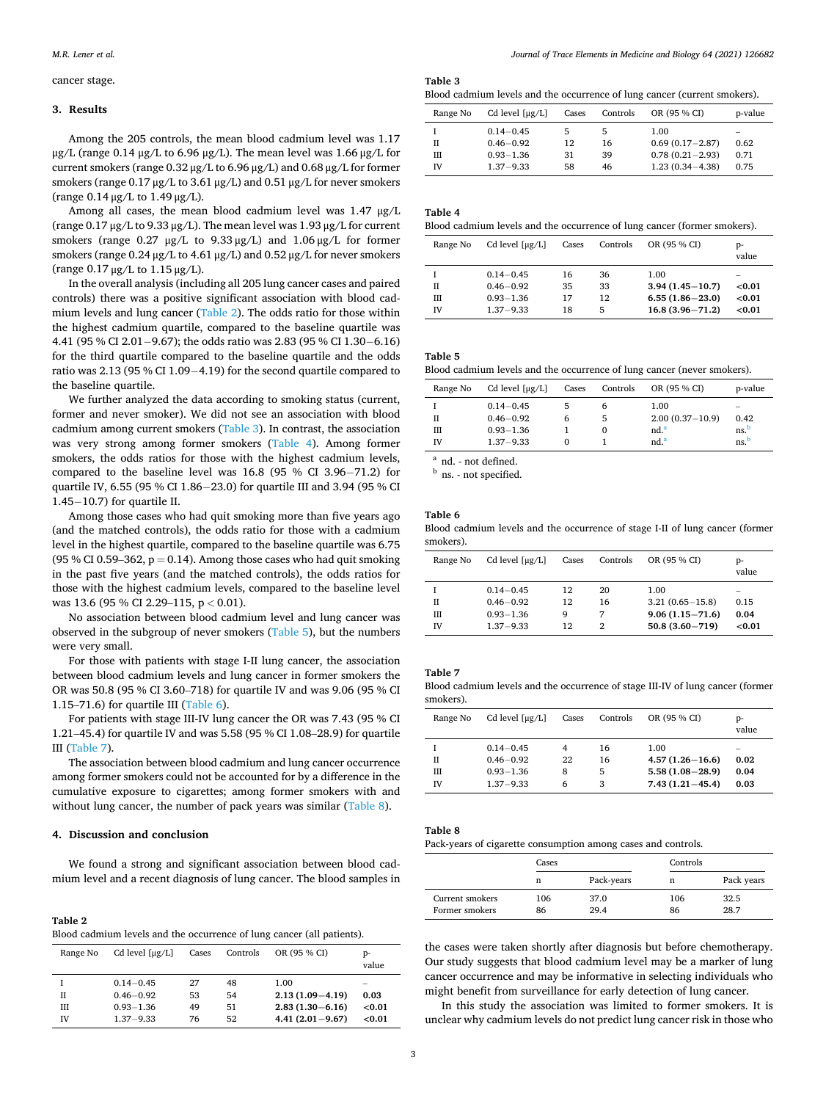#### cancer stage.

# **3. Results**

Among the 205 controls, the mean blood cadmium level was 1.17 μg/L (range 0.14 μg/L to 6.96 μg/L). The mean level was  $1.66 \mu$ g/L for current smokers (range 0.32 μg/L to 6.96 μg/L) and 0.68 μg/L for former smokers (range 0.17 μg/L to 3.61 μg/L) and 0.51 μg/L for never smokers (range 0.14 μg/L to 1.49 μg/L).

Among all cases, the mean blood cadmium level was 1.47 μg/L (range 0.17 μg/L to 9.33 μg/L). The mean level was 1.93 μg/L for current smokers (range 0.27 μg/L to 9.33 μg/L) and 1.06 μg/L for former smokers (range 0.24 μg/L to 4.61 μg/L) and 0.52 μg/L for never smokers (range 0.17 μg/L to 1.15 μg/L).

In the overall analysis (including all 205 lung cancer cases and paired controls) there was a positive significant association with blood cadmium levels and lung cancer (Table 2). The odds ratio for those within the highest cadmium quartile, compared to the baseline quartile was 4.41 (95 % CI 2.01− 9.67); the odds ratio was 2.83 (95 % CI 1.30− 6.16) for the third quartile compared to the baseline quartile and the odds ratio was 2.13 (95 % CI 1.09− 4.19) for the second quartile compared to the baseline quartile.

We further analyzed the data according to smoking status (current, former and never smoker). We did not see an association with blood cadmium among current smokers (Table 3). In contrast, the association was very strong among former smokers (Table 4). Among former smokers, the odds ratios for those with the highest cadmium levels, compared to the baseline level was  $16.8$  (95 % CI 3.96–71.2) for quartile IV, 6.55 (95 % CI 1.86–23.0) for quartile III and 3.94 (95 % CI 1.45− 10.7) for quartile II.

Among those cases who had quit smoking more than five years ago (and the matched controls), the odds ratio for those with a cadmium level in the highest quartile, compared to the baseline quartile was 6.75 (95 % CI 0.59–362,  $p = 0.14$ ). Among those cases who had quit smoking in the past five years (and the matched controls), the odds ratios for those with the highest cadmium levels, compared to the baseline level was 13.6 (95 % CI 2.29–115, p *<* 0.01).

No association between blood cadmium level and lung cancer was observed in the subgroup of never smokers (Table 5), but the numbers were very small.

For those with patients with stage I-II lung cancer, the association between blood cadmium levels and lung cancer in former smokers the OR was 50.8 (95 % CI 3.60–718) for quartile IV and was 9.06 (95 % CI 1.15–71.6) for quartile III (Table 6).

For patients with stage III-IV lung cancer the OR was 7.43 (95 % CI 1.21–45.4) for quartile IV and was 5.58 (95 % CI 1.08–28.9) for quartile III (Table 7).

The association between blood cadmium and lung cancer occurrence among former smokers could not be accounted for by a difference in the cumulative exposure to cigarettes; among former smokers with and without lung cancer, the number of pack years was similar (Table 8).

#### **4. Discussion and conclusion**

We found a strong and significant association between blood cadmium level and a recent diagnosis of lung cancer. The blood samples in

**Table 2**  Blood cadmium levels and the occurrence of lung cancer (all patients).

| Range No | Cd level $\lceil \mu g/L \rceil$ | Cases | Controls | OR (95 % CI)        | p-<br>value |
|----------|----------------------------------|-------|----------|---------------------|-------------|
|          | $0.14 - 0.45$                    | 27    | 48       | 1.00                |             |
| П        | $0.46 - 0.92$                    | 53    | 54       | $2.13(1.09 - 4.19)$ | 0.03        |
| Ш        | $0.93 - 1.36$                    | 49    | 51       | $2.83(1.30 - 6.16)$ | < 0.01      |
| IV       | $1.37 - 9.33$                    | 76    | 52       | $4.41(2.01 - 9.67)$ | <0.01       |

**Table 3** 

Blood cadmium levels and the occurrence of lung cancer (current smokers).

| Range No  | Cd level $\lceil \mu g/L \rceil$ | Cases | Controls      | OR (95 % CI)        | p-value                  |
|-----------|----------------------------------|-------|---------------|---------------------|--------------------------|
|           | $0.14 - 0.45$                    | 5     | $\mathcal{D}$ | 1.00                | $\overline{\phantom{a}}$ |
| П         | $0.46 - 0.92$                    | 12    | 16            | $0.69(0.17-2.87)$   | 0.62                     |
| Ш         | $0.93 - 1.36$                    | 31    | 39            | $0.78(0.21 - 2.93)$ | 0.71                     |
| <b>IV</b> | $1.37 - 9.33$                    | 58    | 46            | $1.23(0.34 - 4.38)$ | 0.75                     |

| J |  |
|---|--|
|---|--|

Blood cadmium levels and the occurrence of lung cancer (former smokers).

| Range No  | Cd level $\lceil \mu g/L \rceil$ | Cases | Controls | OR (95 % CI)        | p-<br>value              |
|-----------|----------------------------------|-------|----------|---------------------|--------------------------|
|           | $0.14 - 0.45$                    | 16    | 36       | 1.00                | $\overline{\phantom{a}}$ |
| п         | $0.46 - 0.92$                    | 35    | 33       | $3.94(1.45 - 10.7)$ | < 0.01                   |
| Ш         | $0.93 - 1.36$                    | 17    | 12       | $6.55(1.86 - 23.0)$ | < 0.01                   |
| <b>IV</b> | $1.37 - 9.33$                    | 18    | 5        | $16.8(3.96 - 71.2)$ | < 0.01                   |

**Table 5** 

Blood cadmium levels and the occurrence of lung cancer (never smokers).

| Range No | Cd level $\lceil \mu g/L \rceil$ | Cases    | Controls | OR (95 % CI)      | p-value                  |
|----------|----------------------------------|----------|----------|-------------------|--------------------------|
|          | $0.14 - 0.45$                    |          | h        | 1.00              | $\overline{\phantom{a}}$ |
| П        | $0.46 - 0.92$                    | 6        | 5        | $2.00(0.37-10.9)$ | 0.42                     |
| Ш        | $0.93 - 1.36$                    |          | $\Omega$ | nd. <sup>a</sup>  | ns <sup>b</sup>          |
| īV       | $1.37 - 9.33$                    | $\Omega$ |          | nd. <sup>a</sup>  | ns <sup>b</sup>          |
| $\sim$   |                                  |          |          |                   |                          |

 $a<sup>b</sup>$  nd. - not defined.<br>b ns. - not specified.

# **Table 6**

Blood cadmium levels and the occurrence of stage I-II of lung cancer (former smokers).

| Range No  | Cd level $\lceil \mu g/L \rceil$ | Cases | Controls | OR (95 % CI)        | p-<br>value              |
|-----------|----------------------------------|-------|----------|---------------------|--------------------------|
|           | $0.14 - 0.45$                    | 12    | 20       | 1.00                | $\overline{\phantom{a}}$ |
| Н         | $0.46 - 0.92$                    | 12    | 16       | $3.21(0.65 - 15.8)$ | 0.15                     |
| Ш         | $0.93 - 1.36$                    | 9     | 7        | $9.06(1.15 - 71.6)$ | 0.04                     |
| <b>IV</b> | $1.37 - 9.33$                    | 12    | 2        | $50.8(3.60 - 719)$  | < 0.01                   |

#### **Table 7**

Blood cadmium levels and the occurrence of stage III-IV of lung cancer (former smokers).

| Range No     | Cd level $\lceil \mu g/L \rceil$                                 | Cases             | Controls           | OR (95 % CI)                                                              | p-<br>value               |
|--------------|------------------------------------------------------------------|-------------------|--------------------|---------------------------------------------------------------------------|---------------------------|
| Н<br>Ш<br>IV | $0.14 - 0.45$<br>$0.46 - 0.92$<br>$0.93 - 1.36$<br>$1.37 - 9.33$ | 4<br>22<br>8<br>6 | 16<br>16<br>5<br>3 | 1.00<br>$4.57(1.26 - 16.6)$<br>$5.58(1.08 - 28.9)$<br>$7.43(1.21 - 45.4)$ | -<br>0.02<br>0.04<br>0.03 |

# **Table 8**

Pack-years of cigarette consumption among cases and controls.

| ັ               |       | ັ          |     |            |
|-----------------|-------|------------|-----|------------|
|                 | Cases |            |     | Controls   |
|                 | n     | Pack-years | n   | Pack years |
| Current smokers | 106   | 37.0       | 106 | 32.5       |
| Former smokers  | 86    | 29.4       | 86  | 28.7       |

the cases were taken shortly after diagnosis but before chemotherapy. Our study suggests that blood cadmium level may be a marker of lung cancer occurrence and may be informative in selecting individuals who might benefit from surveillance for early detection of lung cancer.

In this study the association was limited to former smokers. It is unclear why cadmium levels do not predict lung cancer risk in those who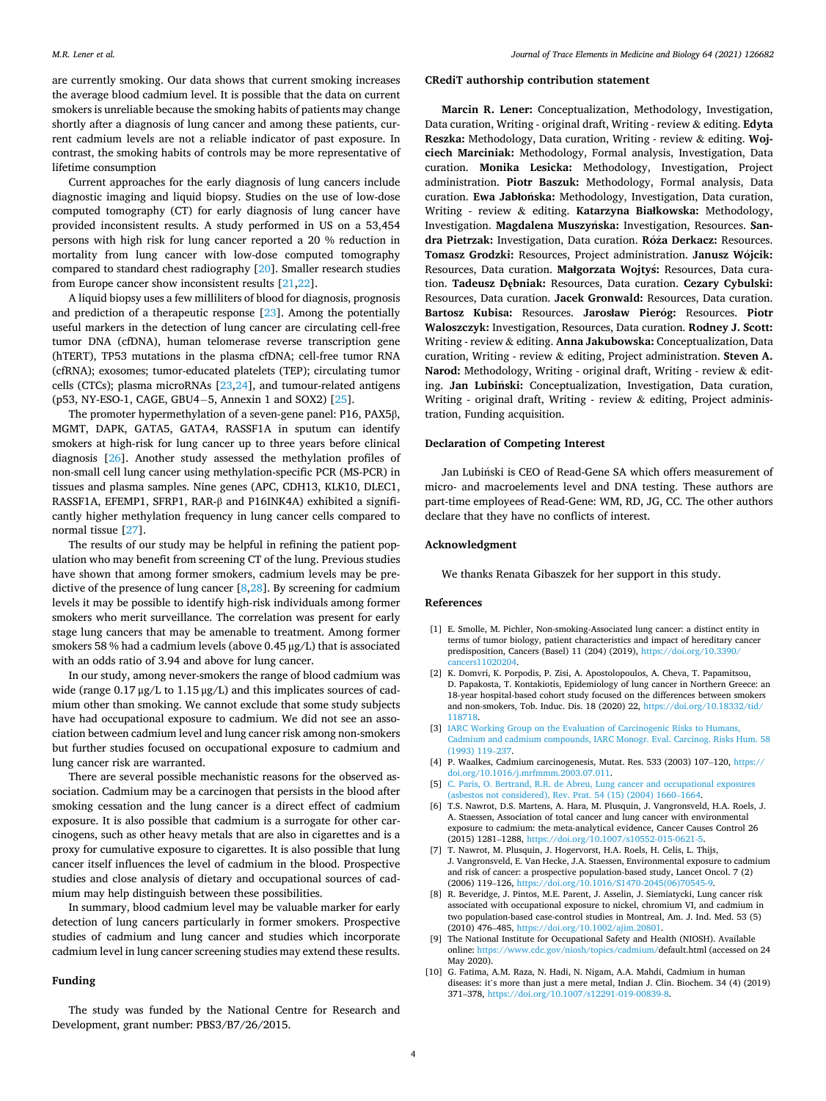<span id="page-3-0"></span>are currently smoking. Our data shows that current smoking increases the average blood cadmium level. It is possible that the data on current smokers is unreliable because the smoking habits of patients may change shortly after a diagnosis of lung cancer and among these patients, current cadmium levels are not a reliable indicator of past exposure. In contrast, the smoking habits of controls may be more representative of lifetime consumption

Current approaches for the early diagnosis of lung cancers include diagnostic imaging and liquid biopsy. Studies on the use of low-dose computed tomography (CT) for early diagnosis of lung cancer have provided inconsistent results. A study performed in US on a 53,454 persons with high risk for lung cancer reported a 20 % reduction in mortality from lung cancer with low-dose computed tomography compared to standard chest radiography [\[20](#page-4-0)]. Smaller research studies from Europe cancer show inconsistent results [[21,22\]](#page-4-0).

A liquid biopsy uses a few milliliters of blood for diagnosis, prognosis and prediction of a therapeutic response [\[23](#page-4-0)]. Among the potentially useful markers in the detection of lung cancer are circulating cell-free tumor DNA (cfDNA), human telomerase reverse transcription gene (hTERT), TP53 mutations in the plasma cfDNA; cell-free tumor RNA (cfRNA); exosomes; tumor-educated platelets (TEP); circulating tumor cells (CTCs); plasma microRNAs [[23,24\]](#page-4-0), and tumour-related antigens (p53, NY-ESO-1, CAGE, GBU4− 5, Annexin 1 and SOX2) [\[25](#page-4-0)].

The promoter hypermethylation of a seven-gene panel: P16, PAX5β, MGMT, DAPK, GATA5, GATA4, RASSF1A in sputum can identify smokers at high-risk for lung cancer up to three years before clinical diagnosis [\[26](#page-4-0)]. Another study assessed the methylation profiles of non-small cell lung cancer using methylation-specific PCR (MS-PCR) in tissues and plasma samples. Nine genes (APC, CDH13, KLK10, DLEC1, RASSF1A, EFEMP1, SFRP1, RAR-β and P16INK4A) exhibited a significantly higher methylation frequency in lung cancer cells compared to normal tissue [[27\]](#page-4-0).

The results of our study may be helpful in refining the patient population who may benefit from screening CT of the lung. Previous studies have shown that among former smokers, cadmium levels may be predictive of the presence of lung cancer [8,[28](#page-4-0)]. By screening for cadmium levels it may be possible to identify high-risk individuals among former smokers who merit surveillance. The correlation was present for early stage lung cancers that may be amenable to treatment. Among former smokers 58 % had a cadmium levels (above 0.45 μg/L) that is associated with an odds ratio of 3.94 and above for lung cancer.

In our study, among never-smokers the range of blood cadmium was wide (range 0.17 μg/L to 1.15 μg/L) and this implicates sources of cadmium other than smoking. We cannot exclude that some study subjects have had occupational exposure to cadmium. We did not see an association between cadmium level and lung cancer risk among non-smokers but further studies focused on occupational exposure to cadmium and lung cancer risk are warranted.

There are several possible mechanistic reasons for the observed association. Cadmium may be a carcinogen that persists in the blood after smoking cessation and the lung cancer is a direct effect of cadmium exposure. It is also possible that cadmium is a surrogate for other carcinogens, such as other heavy metals that are also in cigarettes and is a proxy for cumulative exposure to cigarettes. It is also possible that lung cancer itself influences the level of cadmium in the blood. Prospective studies and close analysis of dietary and occupational sources of cadmium may help distinguish between these possibilities.

In summary, blood cadmium level may be valuable marker for early detection of lung cancers particularly in former smokers. Prospective studies of cadmium and lung cancer and studies which incorporate cadmium level in lung cancer screening studies may extend these results.

# **Funding**

The study was funded by the National Centre for Research and Development, grant number: PBS3/B7/26/2015.

#### **CRediT authorship contribution statement**

**Marcin R. Lener:** Conceptualization, Methodology, Investigation, Data curation, Writing - original draft, Writing - review & editing. **Edyta Reszka:** Methodology, Data curation, Writing - review & editing. **Wojciech Marciniak:** Methodology, Formal analysis, Investigation, Data curation. **Monika Lesicka:** Methodology, Investigation, Project administration. **Piotr Baszuk:** Methodology, Formal analysis, Data curation. Ewa Jabłońska: Methodology, Investigation, Data curation, Writing - review & editing. **Katarzyna Białkowska:** Methodology, Investigation. Magdalena Muszyńska: Investigation, Resources. San**dra Pietrzak:** Investigation, Data curation. **Ro**´**za** ˙ **Derkacz:** Resources. **Tomasz Grodzki:** Resources, Project administration. **Janusz Wojcik:** ´ Resources, Data curation. **Małgorzata Wojty**´**s:** Resources, Data curation. **Tadeusz Dębniak:** Resources, Data curation. **Cezary Cybulski:**  Resources, Data curation. **Jacek Gronwald:** Resources, Data curation. **Bartosz Kubisa:** Resources. **Jarosław Pierog:** ´ Resources. **Piotr Waloszczyk:** Investigation, Resources, Data curation. **Rodney J. Scott:**  Writing - review & editing. **Anna Jakubowska:** Conceptualization, Data curation, Writing - review & editing, Project administration. **Steven A. Narod:** Methodology, Writing - original draft, Writing - review & editing. **Jan Lubiński:** Conceptualization, Investigation, Data curation, Writing - original draft, Writing - review & editing, Project administration, Funding acquisition.

# **Declaration of Competing Interest**

Jan Lubiński is CEO of Read-Gene SA which offers measurement of micro- and macroelements level and DNA testing. These authors are part-time employees of Read-Gene: WM, RD, JG, CC. The other authors declare that they have no conflicts of interest.

#### **Acknowledgment**

We thanks Renata Gibaszek for her support in this study.

#### **References**

- [1] E. Smolle, M. Pichler, Non-smoking-Associated lung cancer: a distinct entity in terms of tumor biology, patient characteristics and impact of hereditary cancer predisposition, Cancers (Basel) 11 (204) (2019), [https://doi.org/10.3390/](https://doi.org/10.3390/cancers11020204) ancers11020204.
- [2] K. Domvri, K. Porpodis, P. Zisi, A. Apostolopoulos, A. Cheva, T. Papamitsou, D. Papakosta, T. Kontakiotis, Epidemiology of lung cancer in Northern Greece: an 18-year hospital-based cohort study focused on the differences between smokers and non-smokers, Tob. Induc. Dis. 18 (2020) 22, [https://doi.org/10.18332/tid/](https://doi.org/10.18332/tid/118718) [118718.](https://doi.org/10.18332/tid/118718)
- [3] IARC Working Group on the Evaluation of Carcinogenic Risks to Humans [Cadmium and cadmium compounds, IARC Monogr. Eval. Carcinog. Risks Hum. 58](http://refhub.elsevier.com/S0946-672X(20)30247-9/sbref0015)  [\(1993\) 119](http://refhub.elsevier.com/S0946-672X(20)30247-9/sbref0015)–237.
- [4] P. Waalkes, Cadmium carcinogenesis, Mutat. Res. 533 (2003) 107-120, [https://](https://doi.org/10.1016/j.mrfmmm.2003.07.011) [doi.org/10.1016/j.mrfmmm.2003.07.011](https://doi.org/10.1016/j.mrfmmm.2003.07.011).
- [5] [C. Paris, O. Bertrand, R.R. de Abreu, Lung cancer and occupational exposures](http://refhub.elsevier.com/S0946-672X(20)30247-9/sbref0025)  [\(asbestos not considered\), Rev. Prat. 54 \(15\) \(2004\) 1660](http://refhub.elsevier.com/S0946-672X(20)30247-9/sbref0025)–1664.
- [6] T.S. Nawrot, D.S. Martens, A. Hara, M. Plusquin, J. Vangronsveld, H.A. Roels, J. A. Staessen, Association of total cancer and lung cancer with environmental exposure to cadmium: the meta-analytical evidence, Cancer Causes Control 26 (2015) 1281–1288, <https://doi.org/10.1007/s10552-015-0621-5>.
- [7] T. Nawrot, M. Plusquin, J. Hogervorst, H.A. Roels, H. Celis, L. Thijs, J. Vangronsveld, E. Van Hecke, J.A. Staessen, Environmental exposure to cadmium and risk of cancer: a prospective population-based study, Lancet Oncol. 7 (2) (2006) 119–126, [https://doi.org/10.1016/S1470-2045\(06\)70545-9](https://doi.org/10.1016/S1470-2045(06)70545-9).
- [8] R. Beveridge, J. Pintos, M.E. Parent, J. Asselin, J. Siemiatycki, Lung cancer risk associated with occupational exposure to nickel, chromium VI, and cadmium in two population-based case-control studies in Montreal, Am. J. Ind. Med. 53 (5) (2010) 476–485, [https://doi.org/10.1002/ajim.20801.](https://doi.org/10.1002/ajim.20801)
- [9] The National Institute for Occupational Safety and Health (NIOSH). Available online: https://www.cdc.gov/niosh/topics/cadmium/default.html (accessed or /www.cdc.gov/niosh/topics/cadmium/default.html (accessed on 24 May 2020).
- [10] G. Fatima, A.M. Raza, N. Hadi, N. Nigam, A.A. Mahdi, Cadmium in human diseases: it's more than just a mere metal, Indian J. Clin. Biochem. 34 (4) (2019) 371–378, [https://doi.org/10.1007/s12291-019-00839-8.](https://doi.org/10.1007/s12291-019-00839-8)